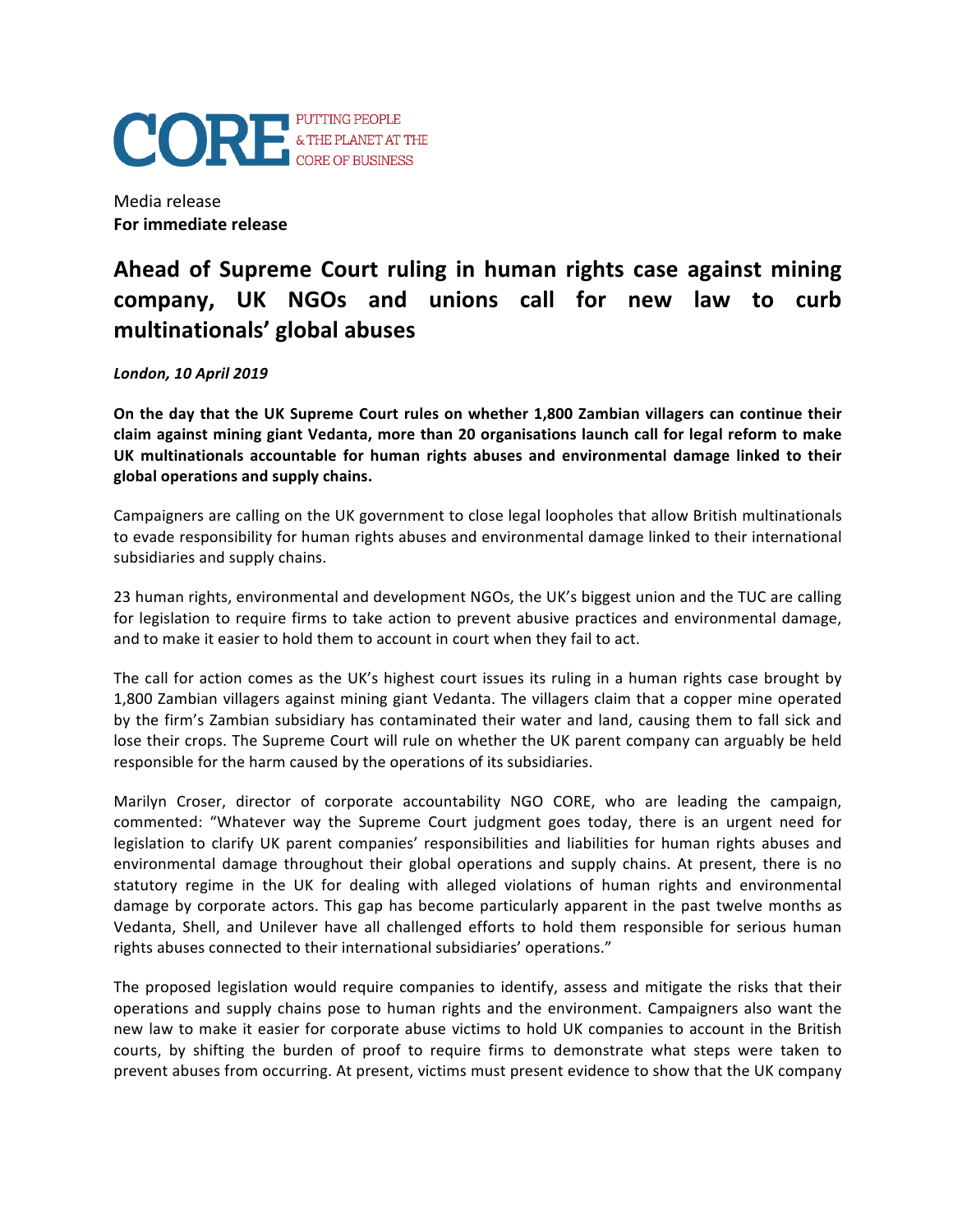

Media release **For immediate release** 

## Ahead of Supreme Court ruling in human rights case against mining company, UK NGOs and unions call for new law to curb **multinationals' global abuses**

*London, 10 April 2019*

On the day that the UK Supreme Court rules on whether 1,800 Zambian villagers can continue their claim against mining giant Vedanta, more than 20 organisations launch call for legal reform to make UK multinationals accountable for human rights abuses and environmental damage linked to their **global operations and supply chains.**

Campaigners are calling on the UK government to close legal loopholes that allow British multinationals to evade responsibility for human rights abuses and environmental damage linked to their international subsidiaries and supply chains.

23 human rights, environmental and development NGOs, the UK's biggest union and the TUC are calling for legislation to require firms to take action to prevent abusive practices and environmental damage, and to make it easier to hold them to account in court when they fail to act.

The call for action comes as the UK's highest court issues its ruling in a human rights case brought by 1,800 Zambian villagers against mining giant Vedanta. The villagers claim that a copper mine operated by the firm's Zambian subsidiary has contaminated their water and land, causing them to fall sick and lose their crops. The Supreme Court will rule on whether the UK parent company can arguably be held responsible for the harm caused by the operations of its subsidiaries.

Marilyn Croser, director of corporate accountability NGO CORE, who are leading the campaign, commented: "Whatever way the Supreme Court judgment goes today, there is an urgent need for legislation to clarify UK parent companies' responsibilities and liabilities for human rights abuses and environmental damage throughout their global operations and supply chains. At present, there is no statutory regime in the UK for dealing with alleged violations of human rights and environmental damage by corporate actors. This gap has become particularly apparent in the past twelve months as Vedanta, Shell, and Unilever have all challenged efforts to hold them responsible for serious human rights abuses connected to their international subsidiaries' operations."

The proposed legislation would require companies to identify, assess and mitigate the risks that their operations and supply chains pose to human rights and the environment. Campaigners also want the new law to make it easier for corporate abuse victims to hold UK companies to account in the British courts, by shifting the burden of proof to require firms to demonstrate what steps were taken to prevent abuses from occurring. At present, victims must present evidence to show that the UK company